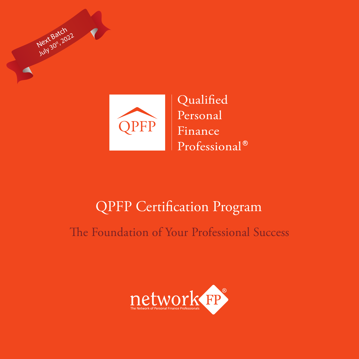



# QPFP Certification Program

The Foundation of Your Professional Success

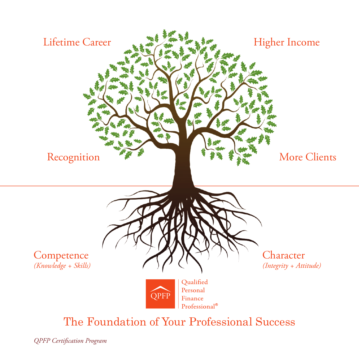

#### The Foundation of Your Professional Success

*QPFP Certification Program*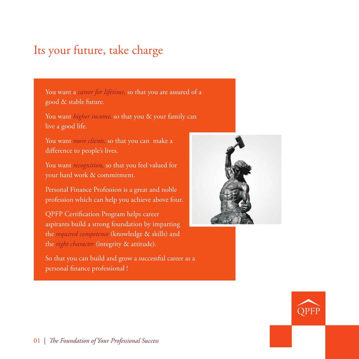### Its your future, take charge

You want a *career for lifetime,* so that you are assured of a good & stable future.

You want *higher income*, so that you & your family can live a good life.

You want *more clients,* so that you can make a difference to people's lives.

You want *recognition,* so that you feel valued for your hard work & commitment.

Personal Finance Profession is a great and noble profession which can help you achieve above four.

QPFP Certification Program helps career aspirants build a strong foundation by imparting the *required competence* (knowledge & skills) and the *right character* (integrity & attitude).

So that you can build and grow a successful career as a personal finance professional !



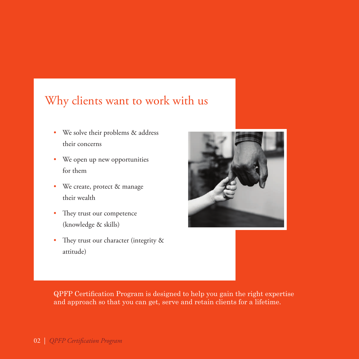### Why clients want to work with us

- We solve their problems & address their concerns
- We open up new opportunities for them
- We create, protect & manage their wealth
- They trust our competence (knowledge & skills)
- They trust our character (integrity & attitude)



QPFP Certification Program is designed to help you gain the right expertise and approach so that you can get, serve and retain clients for a lifetime.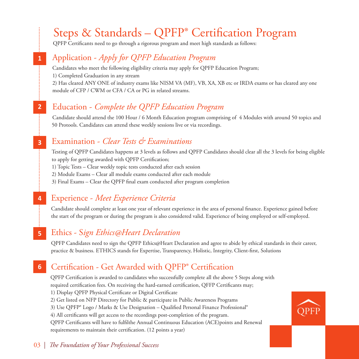# Steps & Standards – QPFP® Certification Program

QPFP Certificants need to go through a rigorous program and meet high standards as follows:

#### Application - *Apply for QPFP Education Program*

**1**

**2**

**4**

Candidates who meet the following eligibility criteria may apply for QPFP Education Program; 1) Completed Graduation in any stream 2) Has cleared ANY ONE of industry exams like NISM VA (MF), VB, XA, XB etc or IRDA exams or has cleared any one module of CFP / CWM or CFA / CA or PG in related streams.

#### Education - *Complete the QPFP Education Program*

Candidate should attend the 100 Hour / 6 Month Education program comprising of 4 Modules with around 50 topics and 50 Protools. Candidates can attend these weekly sessions live or via recordings.

#### Examination - *Clear Tests & Examinations*  **3**

Testing of QPFP Candidates happens at 3 levels as follows and QPFP Candidates should clear all the 3 levels for being eligible to apply for getting awarded with QPFP Certification;

1) Topic Tests – Clear weekly topic tests conducted after each session

2) Module Exams – Clear all module exams conducted after each module

3) Final Exams – Clear the QPFP final exam conducted after program completion

#### Experience - *Meet Experience Criteria*

Candidate should complete at least one year of relevant experience in the area of personal finance. Experience gained before the start of the program or during the program is also considered valid. Experience of being employed or self-employed.

#### Ethics - S*ign Ethics@Heart Declaration*  **5**

QPFP Candidates need to sign the QPFP Ethics@Heart Declaration and agree to abide by ethical standards in their career, practice & business. ETHICS stands for Expertise, Transparency, Holistic, Integrity, Client-first, Solutions

#### Certification - Get Awarded with QPFP® Certification **6**

QPFP Certification is awarded to candidates who successfully complete all the above 5 Steps along with required certification fees. On receiving the hard-earned certification, QFFP Certificants may;

1) Display QPFP Physical Certificate or Digital Certificate

2) Get listed on NFP Directory for Public & participate in Public Awareness Programs

3) Use QPFP® Logo / Marks & Use Designation – Qualified Personal Finance Professional®

4) All certificants will get access to the recordings post-completion of the program.

QPFP Certificants will have to fulfilthe Annual Continuous Education (ACE)points and Renewal requirements to maintain their certification. (12 points a year)



#### 03 | *The Foundation of Your Professional Success*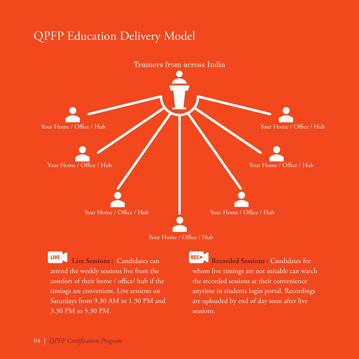## QPFP Education Delivery Model



Your Home / Office / Hub

**LIVE Live Sessions :** Candidates can attend the weekly sessions live from the comfort of their home / office/ hub if the timings are convenient. Live sessions on Saturdays from 9.30 AM to 1.30 PM and 3.30 PM to 5.30 PM.

**REC**<sup>o</sup> **Recorded Sessions :** Candidates for whom live timings are not suitable can watch the recorded sessions at their convenience anytime in students login portal. Recordings are uploaded by end of day soon after live sessions.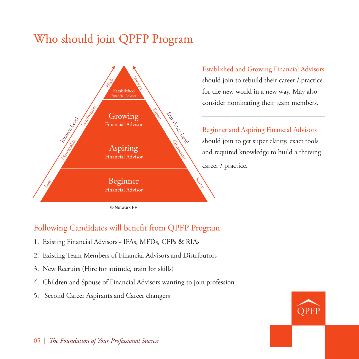# Who should join QPFP Program



Established and Growing Financial Advisors should join to rebuild their career / practice for the new world in a new way. May also consider nominating their team members.

Beginner and Aspiring Financial Advisors should join to get super clarity, exact tools and required knowledge to build a thriving career / practice.

© Network FP

#### Following Candidates will benefit from QPFP Program

- 1. Existing Financial Advisors IFAs, MFDs, CFPs & RIAs
- 2. Existing Team Members of Financial Advisors and Distributors
- 3. New Recruits (Hire for attitude, train for skills)
- 4. Children and Spouse of Financial Advisors wanting to join profession
- 5. Second Career Aspirants and Career changers

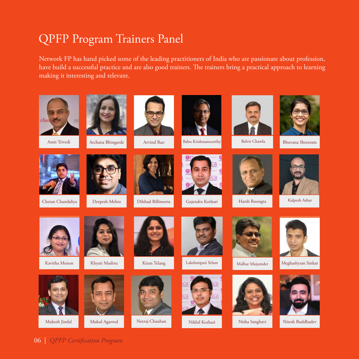## QPFP Program Trainers Panel

Network FP has hand picked some of the leading practitioners of India who are passionate about profession, have build a successful practice and are also good trainers. The trainers bring a practical approach to learning making it interesting and relevant.



Amit Trivedi



Chetan Chandaliya Deepesh Mehta Dilshad Billimoria Gajendra Kothari









Arvind Rao Babu Krishnamoorthy Balvir Chawla Bhuvana Shreeram





Balvir Chawla





Kalpesh Ashar





Khyati Mashru



Kiran Telang







Harsh Roongta

Malhar Mujumder





Kavitha Menon Khyati Mashru Kiran Telang Lakshmipati Yelam Malhar Mujumder Meghashyam Sinkar



Nikhil Kothari Nisha Sanghavi Nitesh Buddhadev



06 | *QPFP Certification Program*













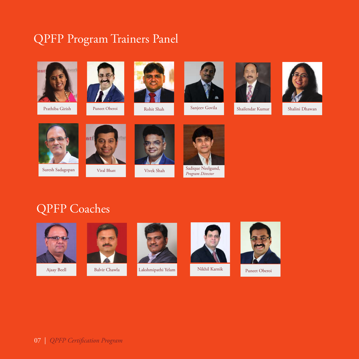## QPFP Program Trainers Panel



Prathiba Girish



Puneet Oberoi





Sanjeev Govila





Rohit Shah Sanjeev Govila Shailendar Kumar Shalini Dhawan



Suresh Sadagopan



Viral Bhatt



Vivek Shah



*Program Director*



Sadique Neelgund,









Ajaay Beell Balvir Chawla Lakshmipathi Yelam Nikhil Karnik Puneet Oberoi



Nikhil Karnik



07 | *QPFP Certification Program*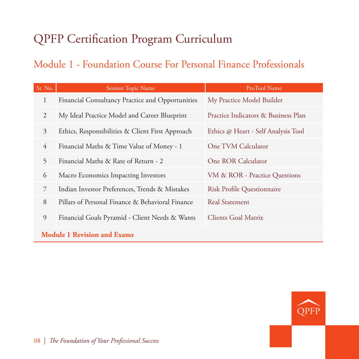# QPFP Certification Program Curriculum

#### Module 1 - Foundation Course For Personal Finance Professionals

| Sr. No.                            | <b>Session Topic Name</b>                                                           | ProTool Name                        |  |  |
|------------------------------------|-------------------------------------------------------------------------------------|-------------------------------------|--|--|
| 1                                  | Financial Consultancy Practice and Opportunities                                    | My Practice Model Builder           |  |  |
| 2                                  | My Ideal Practice Model and Career Blueprint                                        | Practice Indicators & Business Plan |  |  |
| 3                                  | Ethics, Responsibilities & Client First Approach                                    | Ethics @ Heart - Self Analysis Tool |  |  |
| $\overline{4}$                     | Financial Maths & Time Value of Money - 1                                           | One TVM Calculator                  |  |  |
| 5                                  | Financial Maths & Rate of Return - 2                                                | One ROR Calculator                  |  |  |
| 6                                  | Macro Economics Impacting Investors                                                 | VM & ROR - Practice Questions       |  |  |
| 7                                  | Indian Investor Preferences, Trends & Mistakes<br><b>Risk Profile Questionnaire</b> |                                     |  |  |
| 8                                  | Pillars of Personal Finance & Behavioral Finance                                    | <b>Real Statement</b>               |  |  |
| 9                                  | Financial Goals Pyramid - Client Needs & Wants                                      | <b>Clients Goal Matrix</b>          |  |  |
| <b>Module 1 Revision and Exams</b> |                                                                                     |                                     |  |  |

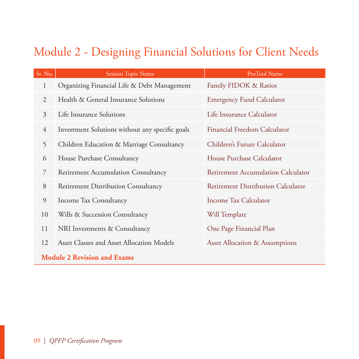## Module 2 - Designing Financial Solutions for Client Needs

| Sr. No.        | <b>Session Topic Name</b>                                                                                                                                                                                                                                                                                                          | ProTool Name                              |  |
|----------------|------------------------------------------------------------------------------------------------------------------------------------------------------------------------------------------------------------------------------------------------------------------------------------------------------------------------------------|-------------------------------------------|--|
| $\mathbf{1}$   | Organizing Financial Life & Debt Management                                                                                                                                                                                                                                                                                        | Family FIDOK & Ratios                     |  |
| 2              | Health & General Insurance Solutions                                                                                                                                                                                                                                                                                               | <b>Emergency Fund Calculator</b>          |  |
| $\overline{3}$ | Life Insurance Solutions                                                                                                                                                                                                                                                                                                           | Life Insurance Calculator                 |  |
| $\overline{4}$ | Investment Solutions without any specific goals                                                                                                                                                                                                                                                                                    | Financial Freedom Calculator              |  |
| 5              | Children Education & Marriage Consultancy                                                                                                                                                                                                                                                                                          | Children's Future Calculator              |  |
| 6              | House Purchase Consultancy                                                                                                                                                                                                                                                                                                         | House Purchase Calculator                 |  |
| 7              | Retirement Accumulation Consultancy                                                                                                                                                                                                                                                                                                | Retirement Accumulation Calculator        |  |
| 8              | Retirement Distribution Consultancy                                                                                                                                                                                                                                                                                                | <b>Retirement Distribution Calculator</b> |  |
| 9              | Income Tax Consultancy                                                                                                                                                                                                                                                                                                             | Income Tax Calculator                     |  |
| 10             | Wills & Succession Consultancy                                                                                                                                                                                                                                                                                                     | Will Template                             |  |
| 11             | NRI Investments & Consultancy                                                                                                                                                                                                                                                                                                      | One Page Financial Plan                   |  |
| 12             | Asset Classes and Asset Allocation Models                                                                                                                                                                                                                                                                                          | <b>Asset Allocation &amp; Assumptions</b> |  |
|                | $\mathbf{1}$ $\mathbf{1}$ $\mathbf{1}$ $\mathbf{2}$ $\mathbf{3}$ $\mathbf{3}$ $\mathbf{4}$ $\mathbf{5}$ $\mathbf{6}$ $\mathbf{6}$ $\mathbf{7}$ $\mathbf{8}$ $\mathbf{8}$ $\mathbf{9}$ $\mathbf{1}$ $\mathbf{1}$ $\mathbf{5}$ $\mathbf{8}$ $\mathbf{1}$ $\mathbf{8}$ $\mathbf{1}$ $\mathbf{5}$ $\mathbf{8}$ $\mathbf{8}$ $\mathbf{$ |                                           |  |

#### **Module 2 Revision and Exams**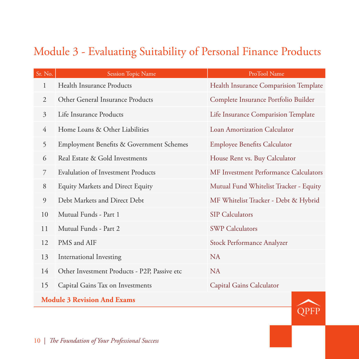## Module 3 - Evaluating Suitability of Personal Finance Products

| Sr. No.                            | <b>Session Topic Name</b><br>ProTool Name    |                                        |  |
|------------------------------------|----------------------------------------------|----------------------------------------|--|
| 1                                  | Health Insurance Products                    | Health Insurance Comparision Template  |  |
| 2                                  | Other General Insurance Products             | Complete Insurance Portfolio Builder   |  |
| $\mathfrak{Z}$                     | Life Insurance Products                      | Life Insurance Comparision Template    |  |
| 4                                  | Home Loans & Other Liabilities               | <b>Loan Amortization Calculator</b>    |  |
| 5                                  | Employment Benefits & Government Schemes     | <b>Employee Benefits Calculator</b>    |  |
| 6                                  | Real Estate & Gold Investments               | House Rent vs. Buy Calculator          |  |
| $\overline{7}$                     | <b>Evalulation of Investment Products</b>    | MF Investment Performance Calculators  |  |
| 8                                  | <b>Equity Markets and Direct Equity</b>      | Mutual Fund Whitelist Tracker - Equity |  |
| 9                                  | Debt Markets and Direct Debt                 | MF Whitelist Tracker - Debt & Hybrid   |  |
| 10                                 | Mutual Funds - Part 1                        | <b>SIP</b> Calculators                 |  |
| 11                                 | Mutual Funds - Part 2                        | <b>SWP Calculators</b>                 |  |
| 12                                 | PMS and AIF                                  | Stock Performance Analyzer             |  |
| 13                                 | International Investing                      | <b>NA</b>                              |  |
| 14                                 | Other Investment Products - P2P, Passive etc | <b>NA</b>                              |  |
| 15                                 | Capital Gains Tax on Investments             | Capital Gains Calculator               |  |
| <b>Module 3 Revision And Exams</b> |                                              |                                        |  |

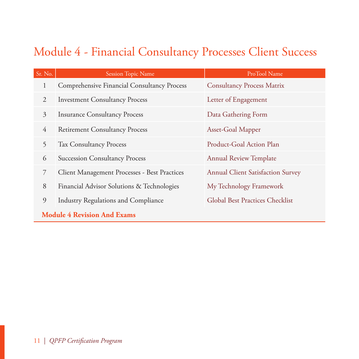# Module 4 - Financial Consultancy Processes Client Success

| Sr. No.                            | <b>Session Topic Name</b>                                   | ProTool Name                             |  |  |
|------------------------------------|-------------------------------------------------------------|------------------------------------------|--|--|
| 1                                  | <b>Comprehensive Financial Consultancy Process</b>          | <b>Consultancy Process Matrix</b>        |  |  |
| $\mathfrak{D}$                     | <b>Investment Consultancy Process</b>                       | Letter of Engagement                     |  |  |
| $\mathfrak{Z}$                     | <b>Insurance Consultancy Process</b><br>Data Gathering Form |                                          |  |  |
| $\overline{4}$                     | <b>Retirement Consultancy Process</b>                       | Asset-Goal Mapper                        |  |  |
| 5                                  | <b>Tax Consultancy Process</b>                              | Product-Goal Action Plan                 |  |  |
| 6                                  | <b>Succession Consultancy Process</b>                       | <b>Annual Review Template</b>            |  |  |
| 7                                  | Client Management Processes - Best Practices                | <b>Annual Client Satisfaction Survey</b> |  |  |
| 8                                  | Financial Advisor Solutions & Technologies                  | My Technology Framework                  |  |  |
| 9                                  | <b>Industry Regulations and Compliance</b>                  | <b>Global Best Practices Checklist</b>   |  |  |
| <b>Module 4 Revision And Exams</b> |                                                             |                                          |  |  |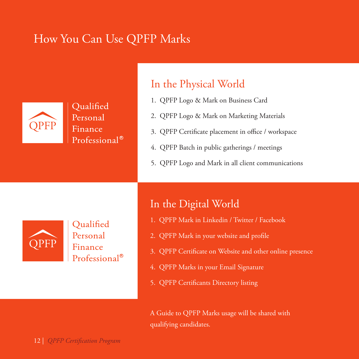## How You Can Use QPFP Marks



Oualified Personal Finance Professional<sup>®</sup>

#### In the Physical World

- 1. QPFP Logo & Mark on Business Card
- 2. QPFP Logo & Mark on Marketing Materials
- 3. QPFP Certificate placement in office / workspace
- 4. QPFP Batch in public gatherings / meetings
- 5. QPFP Logo and Mark in all client communications



Qualified Personal Finance Professional<sup>®</sup>

#### In the Digital World

- 1. QPFP Mark in Linkedin / Twitter / Facebook
- 2. QPFP Mark in your website and profile
- 3. QPFP Certificate on Website and other online presence
- 4. QPFP Marks in your Email Signature
- 5. QPFP Certificants Directory listing

A Guide to QPFP Marks usage will be shared with qualifying candidates.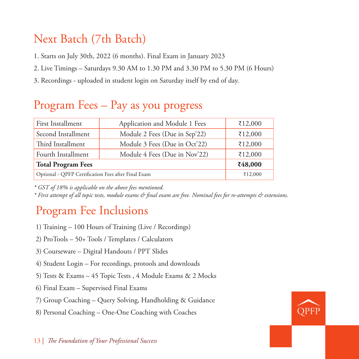## Next Batch (7th Batch)

1. Starts on July 30th, 2022 (6 months). Final Exam in January 2023

- 2. Live Timings Saturdays 9.30 AM to 1.30 PM and 3.30 PM to 5.30 PM (6 Hours)
- 3. Recordings uploaded in student login on Saturday itself by end of day.

# Program Fees – Pay as you progress

| First Installment                                   | Application and Module 1 Fees | ₹12,000 |
|-----------------------------------------------------|-------------------------------|---------|
| Second Installment                                  | Module 2 Fees (Due in Sep'22) | ₹12,000 |
| Third Installment                                   | Module 3 Fees (Due in Oct'22) | ₹12,000 |
| Fourth Installment                                  | Module 4 Fees (Due in Nov'22) | ₹12,000 |
| <b>Total Program Fees</b>                           | ₹48,000                       |         |
| Optional - QPFP Certification Fees after Final Exam | ₹12,000                       |         |

*\* GST of 18% is applicable on the above fees mentioned.*

*\* First attempt of all topic tests, module exams & final exam are free. Nominal fees for re-attempts & extensions.*

## Program Fee Inclusions

- 1) Training 100 Hours of Training (Live / Recordings)
- 2) ProTools 50+ Tools / Templates / Calculators
- 3) Courseware Digital Handouts / PPT Slides
- 4) Student Login For recordings, protools and downloads
- 5) Tests & Exams 45 Topic Tests , 4 Module Exams & 2 Mocks
- 6) Final Exam Supervised Final Exams
- 7) Group Coaching Query Solving, Handholding & Guidance
- 8) Personal Coaching One-One Coaching with Coaches

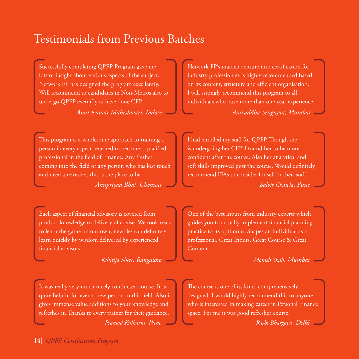### Testimonials from Previous Batches

Successfully completing QPFP Program gave me lots of insight about various aspects of the subject. Network FP has designed the program excellently. Will recommend to candidates in Non-Metros also to undergo QPFP even if you have done CFP.

*Amit Kumar Maheshwari, Indore*

Network FP's maiden venture into certification for industry professionals is highly recommended based on its content, structure and efficient organisation. I will strongly recommend this program to all individuals who have more than one year experience.

*Aniruddha Sengupta, Mumbai*

This program is a wholesome approach to training a person in every aspect required to become a qualified professional in the field of Finance. Any fresher coming into the field or any person who has lost touch and need a refresher, this is the place to be.

*Anupriyaa Bhat, Chennai*

Each aspect of financial advisory is covered from product knowledge to delivery of advise. We took years to learn the game on our own, newbies can definitely learn quickly by wisdom delivered by experienced financial advisors.

*Kshitija Shete, Bangalore*

It was really very much nicely conducted course. It is quite helpful for even a new person in this field. Also it gives immense value additions to your knowledge and refreshes it. Thanks to every trainer for their guidance. *Pramod Kulkarni, Pune*

I had enrolled my staff for QPFP. Though she is undergoing her CFP, I found her to be more confident after the course. Also her analytical and soft skills improved post the course. Would definitely recommend IFAs to consider for self or their staff.

*Balvir Chawla, Pune*

One of the best inputs from industry experts which guides you to actually implement financial planning practice to its optimum. Shapes an individual as a professional. Great Inputs, Great Course & Great Content !

*Monish Shah, Mumbai*

The course is one of its kind, comprehensively designed. I would highly recommend this to anyone who is interested in making career in Personal Finance space. For me it was good refresher course.

*Rashi Bhargava, Delhi*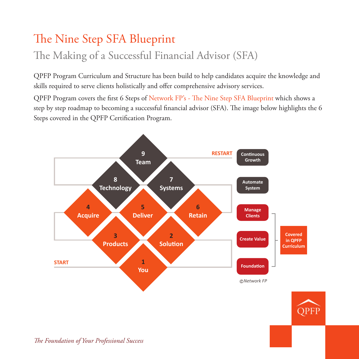# The Nine Step SFA Blueprint

## The Making of a Successful Financial Advisor (SFA)

QPFP Program Curriculum and Structure has been build to help candidates acquire the knowledge and skills required to serve clients holistically and offer comprehensive advisory services.

QPFP Program covers the first 6 Steps of Network FP's - The Nine Step SFA Blueprint which shows a step by step roadmap to becoming a successful financial advisor (SFA). The image below highlights the 6 Steps covered in the QPFP Certification Program.